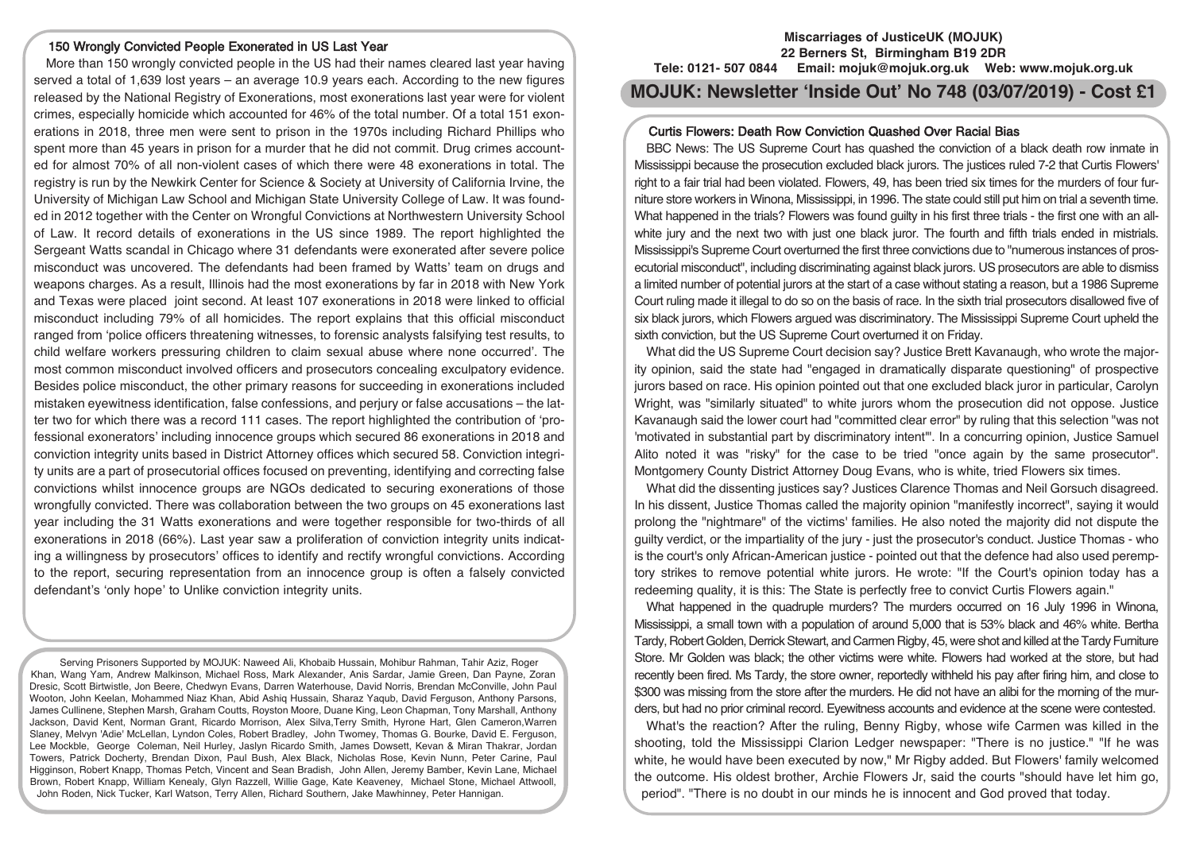# 150 Wrongly Convicted People Exonerated in US Last Year

More than 150 wrongly convicted people in the US had their names cleared last year having served a total of 1,639 lost years – an average 10.9 years each. According to the new figures released by the National Registry of Exonerations, most exonerations last year were for violent crimes, especially homicide which accounted for 46% of the total number. Of a total 151 exonerations in 2018, three men were sent to prison in the 1970s including Richard Phillips who spent more than 45 years in prison for a murder that he did not commit. Drug crimes accounted for almost 70% of all non-violent cases of which there were 48 exonerations in total. The registry is run by the Newkirk Center for Science & Society at University of California Irvine, the University of Michigan Law School and Michigan State University College of Law. It was founded in 2012 together with the Center on Wrongful Convictions at Northwestern University School of Law. It record details of exonerations in the US since 1989. The report highlighted the Sergeant Watts scandal in Chicago where 31 defendants were exonerated after severe police misconduct was uncovered. The defendants had been framed by Watts' team on drugs and weapons charges. As a result, Illinois had the most exonerations by far in 2018 with New York and Texas were placed joint second. At least 107 exonerations in 2018 were linked to official misconduct including 79% of all homicides. The report explains that this official misconduct ranged from 'police officers threatening witnesses, to forensic analysts falsifying test results, to child welfare workers pressuring children to claim sexual abuse where none occurred'. The most common misconduct involved officers and prosecutors concealing exculpatory evidence. Besides police misconduct, the other primary reasons for succeeding in exonerations included mistaken eyewitness identification, false confessions, and perjury or false accusations – the latter two for which there was a record 111 cases. The report highlighted the contribution of 'professional exonerators' including innocence groups which secured 86 exonerations in 2018 and conviction integrity units based in District Attorney offices which secured 58. Conviction integrity units are a part of prosecutorial offices focused on preventing, identifying and correcting false convictions whilst innocence groups are NGOs dedicated to securing exonerations of those wrongfully convicted. There was collaboration between the two groups on 45 exonerations last year including the 31 Watts exonerations and were together responsible for two-thirds of all exonerations in 2018 (66%). Last year saw a proliferation of conviction integrity units indicating a willingness by prosecutors' offices to identify and rectify wrongful convictions. According to the report, securing representation from an innocence group is often a falsely convicted defendant's 'only hope' to Unlike conviction integrity units.

Serving Prisoners Supported by MOJUK: Naweed Ali, Khobaib Hussain, Mohibur Rahman, Tahir Aziz, Roger Khan, Wang Yam, Andrew Malkinson, Michael Ross, Mark Alexander, Anis Sardar, Jamie Green, Dan Payne, Zoran Dresic, Scott Birtwistle, Jon Beere, Chedwyn Evans, Darren Waterhouse, David Norris, Brendan McConville, John Paul Wooton, John Keelan, Mohammed Niaz Khan, Abid Ashiq Hussain, Sharaz Yaqub, David Ferguson, Anthony Parsons, James Cullinene, Stephen Marsh, Graham Coutts, Royston Moore, Duane King, Leon Chapman, Tony Marshall, Anthony Jackson, David Kent, Norman Grant, Ricardo Morrison, Alex Silva,Terry Smith, Hyrone Hart, Glen Cameron,Warren Slaney, Melvyn 'Adie' McLellan, Lyndon Coles, Robert Bradley, John Twomey, Thomas G. Bourke, David E. Ferguson, Lee Mockble, George Coleman, Neil Hurley, Jaslyn Ricardo Smith, James Dowsett, Kevan & Miran Thakrar, Jordan Towers, Patrick Docherty, Brendan Dixon, Paul Bush, Alex Black, Nicholas Rose, Kevin Nunn, Peter Carine, Paul Higginson, Robert Knapp, Thomas Petch, Vincent and Sean Bradish, John Allen, Jeremy Bamber, Kevin Lane, Michael Brown, Robert Knapp, William Kenealy, Glyn Razzell, Willie Gage, Kate Keaveney, Michael Stone, Michael Attwooll, John Roden, Nick Tucker, Karl Watson, Terry Allen, Richard Southern, Jake Mawhinney, Peter Hannigan.

#### **Miscarriages of JusticeUK (MOJUK) 22 Berners St, Birmingham B19 2DR Tele: 0121- 507 0844 Email: mojuk@mojuk.org.uk Web: www.mojuk.org.uk**

# **MOJUK: Newsletter 'Inside Out' No 748 (03/07/2019) - Cost £1**

# Curtis Flowers: Death Row Conviction Quashed Over Racial Bias

BBC News: The US Supreme Court has quashed the conviction of a black death row inmate in Mississippi because the prosecution excluded black jurors. The justices ruled 7-2 that Curtis Flowers' right to a fair trial had been violated. Flowers, 49, has been tried six times for the murders of four furniture store workers in Winona, Mississippi, in 1996. The state could still put him on trial a seventh time. What happened in the trials? Flowers was found guilty in his first three trials - the first one with an allwhite jury and the next two with just one black juror. The fourth and fifth trials ended in mistrials. Mississippi's Supreme Court overturned the first three convictions due to "numerous instances of prosecutorial misconduct", including discriminating against black jurors. US prosecutors are able to dismiss a limited number of potential jurors at the start of a case without stating a reason, but a 1986 Supreme Court ruling made it illegal to do so on the basis of race. In the sixth trial prosecutors disallowed five of six black jurors, which Flowers argued was discriminatory. The Mississippi Supreme Court upheld the sixth conviction, but the US Supreme Court overturned it on Friday.

What did the US Supreme Court decision say? Justice Brett Kavanaugh, who wrote the majority opinion, said the state had "engaged in dramatically disparate questioning" of prospective jurors based on race. His opinion pointed out that one excluded black juror in particular, Carolyn Wright, was "similarly situated" to white jurors whom the prosecution did not oppose. Justice Kavanaugh said the lower court had "committed clear error" by ruling that this selection "was not 'motivated in substantial part by discriminatory intent'". In a concurring opinion, Justice Samuel Alito noted it was "risky" for the case to be tried "once again by the same prosecutor". Montgomery County District Attorney Doug Evans, who is white, tried Flowers six times.

What did the dissenting justices say? Justices Clarence Thomas and Neil Gorsuch disagreed. In his dissent, Justice Thomas called the majority opinion "manifestly incorrect", saying it would prolong the "nightmare" of the victims' families. He also noted the majority did not dispute the guilty verdict, or the impartiality of the jury - just the prosecutor's conduct. Justice Thomas - who is the court's only African-American justice - pointed out that the defence had also used peremptory strikes to remove potential white jurors. He wrote: "If the Court's opinion today has a redeeming quality, it is this: The State is perfectly free to convict Curtis Flowers again."

What happened in the quadruple murders? The murders occurred on 16 July 1996 in Winona, Mississippi, a small town with a population of around 5,000 that is 53% black and 46% white. Bertha Tardy, Robert Golden, Derrick Stewart, and Carmen Rigby, 45, were shot and killed at the Tardy Furniture Store. Mr Golden was black; the other victims were white. Flowers had worked at the store, but had recently been fired. Ms Tardy, the store owner, reportedly withheld his pay after firing him, and close to \$300 was missing from the store after the murders. He did not have an alibi for the morning of the murders, but had no prior criminal record. Eyewitness accounts and evidence at the scene were contested.

What's the reaction? After the ruling, Benny Rigby, whose wife Carmen was killed in the shooting, told the Mississippi Clarion Ledger newspaper: "There is no justice." "If he was white, he would have been executed by now," Mr Rigby added. But Flowers' family welcomed the outcome. His oldest brother, Archie Flowers Jr, said the courts "should have let him go, period". "There is no doubt in our minds he is innocent and God proved that today.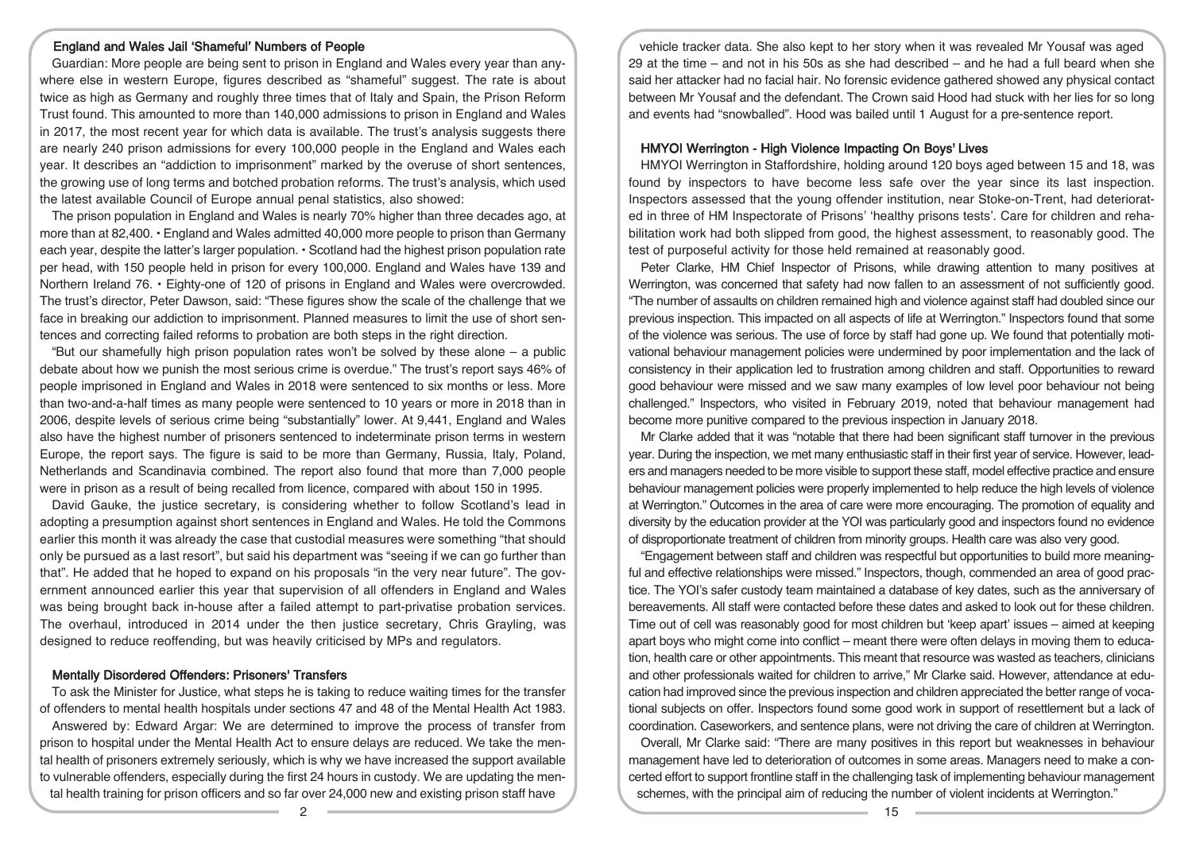# England and Wales Jail 'Shameful' Numbers of People

Guardian: More people are being sent to prison in England and Wales every year than anywhere else in western Europe, figures described as "shameful" suggest. The rate is about twice as high as Germany and roughly three times that of Italy and Spain, the Prison Reform Trust found. This amounted to more than 140,000 admissions to prison in England and Wales in 2017, the most recent year for which data is available. The trust's analysis suggests there are nearly 240 prison admissions for every 100,000 people in the England and Wales each year. It describes an "addiction to imprisonment" marked by the overuse of short sentences, the growing use of long terms and botched probation reforms. The trust's analysis, which used the latest available Council of Europe annual penal statistics, also showed:

The prison population in England and Wales is nearly 70% higher than three decades ago, at more than at 82,400. • England and Wales admitted 40,000 more people to prison than Germany each year, despite the latter's larger population. • Scotland had the highest prison population rate per head, with 150 people held in prison for every 100,000. England and Wales have 139 and Northern Ireland 76. • Eighty-one of 120 of prisons in England and Wales were overcrowded. The trust's director, Peter Dawson, said: "These figures show the scale of the challenge that we face in breaking our addiction to imprisonment. Planned measures to limit the use of short sentences and correcting failed reforms to probation are both steps in the right direction.

"But our shamefully high prison population rates won't be solved by these alone – a public debate about how we punish the most serious crime is overdue." The trust's report says 46% of people imprisoned in England and Wales in 2018 were sentenced to six months or less. More than two-and-a-half times as many people were sentenced to 10 years or more in 2018 than in 2006, despite levels of serious crime being "substantially" lower. At 9,441, England and Wales also have the highest number of prisoners sentenced to indeterminate prison terms in western Europe, the report says. The figure is said to be more than Germany, Russia, Italy, Poland, Netherlands and Scandinavia combined. The report also found that more than 7,000 people were in prison as a result of being recalled from licence, compared with about 150 in 1995.

David Gauke, the justice secretary, is considering whether to follow Scotland's lead in adopting a presumption against short sentences in England and Wales. He told the Commons earlier this month it was already the case that custodial measures were something "that should only be pursued as a last resort", but said his department was "seeing if we can go further than that". He added that he hoped to expand on his proposals "in the very near future". The government announced earlier this year that supervision of all offenders in England and Wales was being brought back in-house after a failed attempt to part-privatise probation services. The overhaul, introduced in 2014 under the then justice secretary, Chris Grayling, was designed to reduce reoffending, but was heavily criticised by MPs and regulators.

#### Mentally Disordered Offenders: Prisoners' Transfers

To ask the Minister for Justice, what steps he is taking to reduce waiting times for the transfer of offenders to mental health hospitals under sections 47 and 48 of the Mental Health Act 1983. Answered by: Edward Argar: We are determined to improve the process of transfer from prison to hospital under the Mental Health Act to ensure delays are reduced. We take the mental health of prisoners extremely seriously, which is why we have increased the support available to vulnerable offenders, especially during the first 24 hours in custody. We are updating the mental health training for prison officers and so far over 24,000 new and existing prison staff have

vehicle tracker data. She also kept to her story when it was revealed Mr Yousaf was aged 29 at the time – and not in his 50s as she had described – and he had a full beard when she said her attacker had no facial hair. No forensic evidence gathered showed any physical contact between Mr Yousaf and the defendant. The Crown said Hood had stuck with her lies for so long and events had "snowballed". Hood was bailed until 1 August for a pre-sentence report.

## HMYOI Werrington - High Violence Impacting On Boys' Lives

HMYOI Werrington in Staffordshire, holding around 120 boys aged between 15 and 18, was found by inspectors to have become less safe over the year since its last inspection. Inspectors assessed that the young offender institution, near Stoke-on-Trent, had deteriorated in three of HM Inspectorate of Prisons' 'healthy prisons tests'. Care for children and rehabilitation work had both slipped from good, the highest assessment, to reasonably good. The test of purposeful activity for those held remained at reasonably good.

Peter Clarke, HM Chief Inspector of Prisons, while drawing attention to many positives at Werrington, was concerned that safety had now fallen to an assessment of not sufficiently good. "The number of assaults on children remained high and violence against staff had doubled since our previous inspection. This impacted on all aspects of life at Werrington." Inspectors found that some of the violence was serious. The use of force by staff had gone up. We found that potentially motivational behaviour management policies were undermined by poor implementation and the lack of consistency in their application led to frustration among children and staff. Opportunities to reward good behaviour were missed and we saw many examples of low level poor behaviour not being challenged." Inspectors, who visited in February 2019, noted that behaviour management had become more punitive compared to the previous inspection in January 2018.

Mr Clarke added that it was "notable that there had been significant staff turnover in the previous year. During the inspection, we met many enthusiastic staff in their first year of service. However, leaders and managers needed to be more visible to support these staff, model effective practice and ensure behaviour management policies were properly implemented to help reduce the high levels of violence at Werrington." Outcomes in the area of care were more encouraging. The promotion of equality and diversity by the education provider at the YOI was particularly good and inspectors found no evidence of disproportionate treatment of children from minority groups. Health care was also very good.

"Engagement between staff and children was respectful but opportunities to build more meaningful and effective relationships were missed." Inspectors, though, commended an area of good practice. The YOI's safer custody team maintained a database of key dates, such as the anniversary of bereavements. All staff were contacted before these dates and asked to look out for these children. Time out of cell was reasonably good for most children but 'keep apart' issues – aimed at keeping apart boys who might come into conflict – meant there were often delays in moving them to education, health care or other appointments. This meant that resource was wasted as teachers, clinicians and other professionals waited for children to arrive," Mr Clarke said. However, attendance at education had improved since the previous inspection and children appreciated the better range of vocational subjects on offer. Inspectors found some good work in support of resettlement but a lack of coordination. Caseworkers, and sentence plans, were not driving the care of children at Werrington.

Overall, Mr Clarke said: "There are many positives in this report but weaknesses in behaviour management have led to deterioration of outcomes in some areas. Managers need to make a concerted effort to support frontline staff in the challenging task of implementing behaviour management schemes, with the principal aim of reducing the number of violent incidents at Werrington."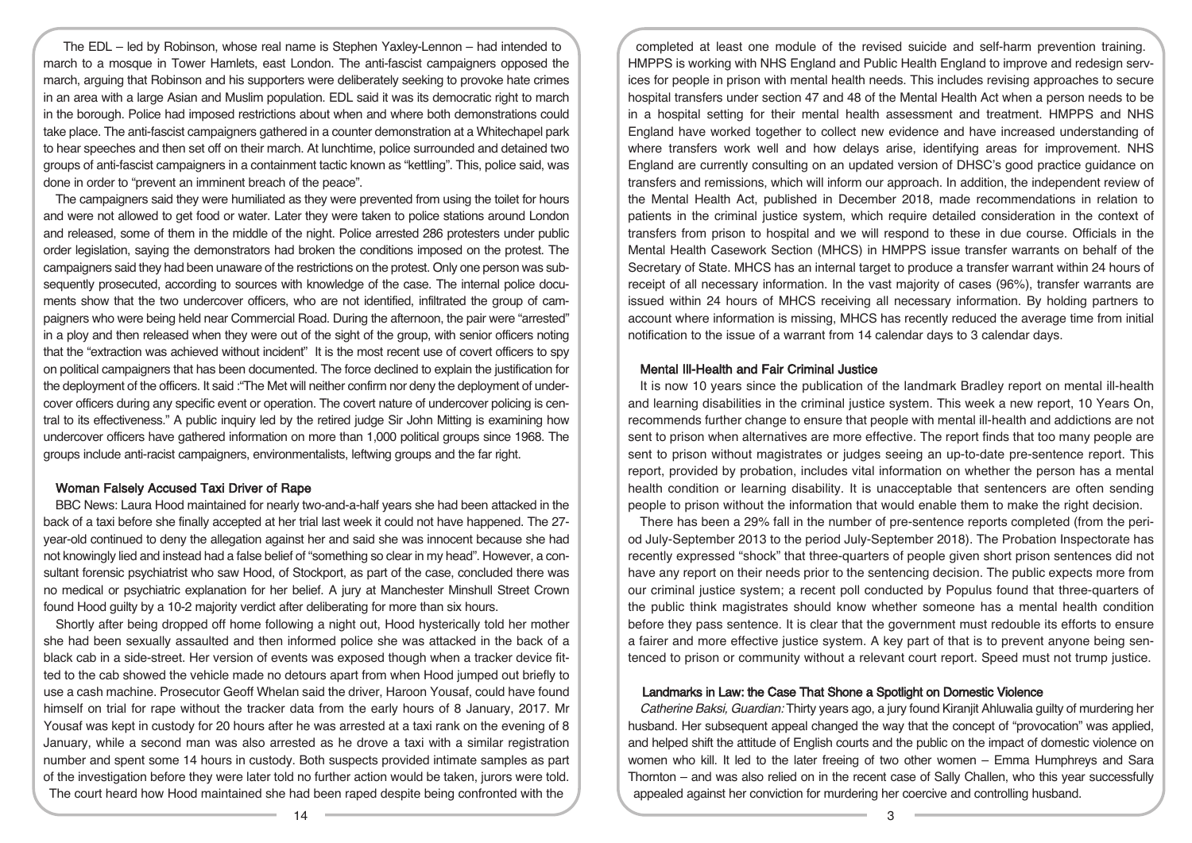The EDL – led by Robinson, whose real name is Stephen Yaxley-Lennon – had intended to march to a mosque in Tower Hamlets, east London. The anti-fascist campaigners opposed the march, arguing that Robinson and his supporters were deliberately seeking to provoke hate crimes in an area with a large Asian and Muslim population. EDL said it was its democratic right to march in the borough. Police had imposed restrictions about when and where both demonstrations could take place. The anti-fascist campaigners gathered in a counter demonstration at a Whitechapel park to hear speeches and then set off on their march. At lunchtime, police surrounded and detained two groups of anti-fascist campaigners in a containment tactic known as "kettling". This, police said, was done in order to "prevent an imminent breach of the peace".

The campaigners said they were humiliated as they were prevented from using the toilet for hours and were not allowed to get food or water. Later they were taken to police stations around London and released, some of them in the middle of the night. Police arrested 286 protesters under public order legislation, saying the demonstrators had broken the conditions imposed on the protest. The campaigners said they had been unaware of the restrictions on the protest. Only one person was subsequently prosecuted, according to sources with knowledge of the case. The internal police documents show that the two undercover officers, who are not identified, infiltrated the group of campaigners who were being held near Commercial Road. During the afternoon, the pair were "arrested" in a ploy and then released when they were out of the sight of the group, with senior officers noting that the "extraction was achieved without incident" It is the most recent use of covert officers to spy on political campaigners that has been documented. The force declined to explain the justification for the deployment of the officers. It said :"The Met will neither confirm nor deny the deployment of undercover officers during any specific event or operation. The covert nature of undercover policing is central to its effectiveness." A public inquiry led by the retired judge Sir John Mitting is examining how undercover officers have gathered information on more than 1,000 political groups since 1968. The groups include anti-racist campaigners, environmentalists, leftwing groups and the far right.

## Woman Falsely Accused Taxi Driver of Rape

BBC News: Laura Hood maintained for nearly two-and-a-half years she had been attacked in the back of a taxi before she finally accepted at her trial last week it could not have happened. The 27 year-old continued to deny the allegation against her and said she was innocent because she had not knowingly lied and instead had a false belief of "something so clear in my head". However, a consultant forensic psychiatrist who saw Hood, of Stockport, as part of the case, concluded there was no medical or psychiatric explanation for her belief. A jury at Manchester Minshull Street Crown found Hood guilty by a 10-2 majority verdict after deliberating for more than six hours.

Shortly after being dropped off home following a night out, Hood hysterically told her mother she had been sexually assaulted and then informed police she was attacked in the back of a black cab in a side-street. Her version of events was exposed though when a tracker device fitted to the cab showed the vehicle made no detours apart from when Hood jumped out briefly to use a cash machine. Prosecutor Geoff Whelan said the driver, Haroon Yousaf, could have found himself on trial for rape without the tracker data from the early hours of 8 January, 2017. Mr Yousaf was kept in custody for 20 hours after he was arrested at a taxi rank on the evening of 8 January, while a second man was also arrested as he drove a taxi with a similar registration number and spent some 14 hours in custody. Both suspects provided intimate samples as part of the investigation before they were later told no further action would be taken, jurors were told. The court heard how Hood maintained she had been raped despite being confronted with the

completed at least one module of the revised suicide and self-harm prevention training. HMPPS is working with NHS England and Public Health England to improve and redesign services for people in prison with mental health needs. This includes revising approaches to secure hospital transfers under section 47 and 48 of the Mental Health Act when a person needs to be in a hospital setting for their mental health assessment and treatment. HMPPS and NHS England have worked together to collect new evidence and have increased understanding of where transfers work well and how delays arise, identifying areas for improvement. NHS England are currently consulting on an updated version of DHSC's good practice guidance on transfers and remissions, which will inform our approach. In addition, the independent review of the Mental Health Act, published in December 2018, made recommendations in relation to patients in the criminal justice system, which require detailed consideration in the context of transfers from prison to hospital and we will respond to these in due course. Officials in the Mental Health Casework Section (MHCS) in HMPPS issue transfer warrants on behalf of the Secretary of State. MHCS has an internal target to produce a transfer warrant within 24 hours of receipt of all necessary information. In the vast majority of cases (96%), transfer warrants are issued within 24 hours of MHCS receiving all necessary information. By holding partners to account where information is missing, MHCS has recently reduced the average time from initial notification to the issue of a warrant from 14 calendar days to 3 calendar days.

### Mental Ill-Health and Fair Criminal Justice

It is now 10 years since the publication of the landmark Bradley report on mental ill-health and learning disabilities in the criminal justice system. This week a new report, 10 Years On, recommends further change to ensure that people with mental ill-health and addictions are not sent to prison when alternatives are more effective. The report finds that too many people are sent to prison without magistrates or judges seeing an up-to-date pre-sentence report. This report, provided by probation, includes vital information on whether the person has a mental health condition or learning disability. It is unacceptable that sentencers are often sending people to prison without the information that would enable them to make the right decision.

There has been a 29% fall in the number of pre-sentence reports completed (from the period July-September 2013 to the period July-September 2018). The Probation Inspectorate has recently expressed "shock" that three-quarters of people given short prison sentences did not have any report on their needs prior to the sentencing decision. The public expects more from our criminal justice system; a recent poll conducted by Populus found that three-quarters of the public think magistrates should know whether someone has a mental health condition before they pass sentence. It is clear that the government must redouble its efforts to ensure a fairer and more effective justice system. A key part of that is to prevent anyone being sentenced to prison or community without a relevant court report. Speed must not trump justice.

#### Landmarks in Law: the Case That Shone a Spotlight on Domestic Violence

Catherine Baksi, Guardian: Thirty years ago, a jury found Kiranjit Ahluwalia guilty of murdering her husband. Her subsequent appeal changed the way that the concept of "provocation" was applied. and helped shift the attitude of English courts and the public on the impact of domestic violence on women who kill. It led to the later freeing of two other women – Emma Humphreys and Sara Thornton – and was also relied on in the recent case of Sally Challen, who this year successfully appealed against her conviction for murdering her coercive and controlling husband.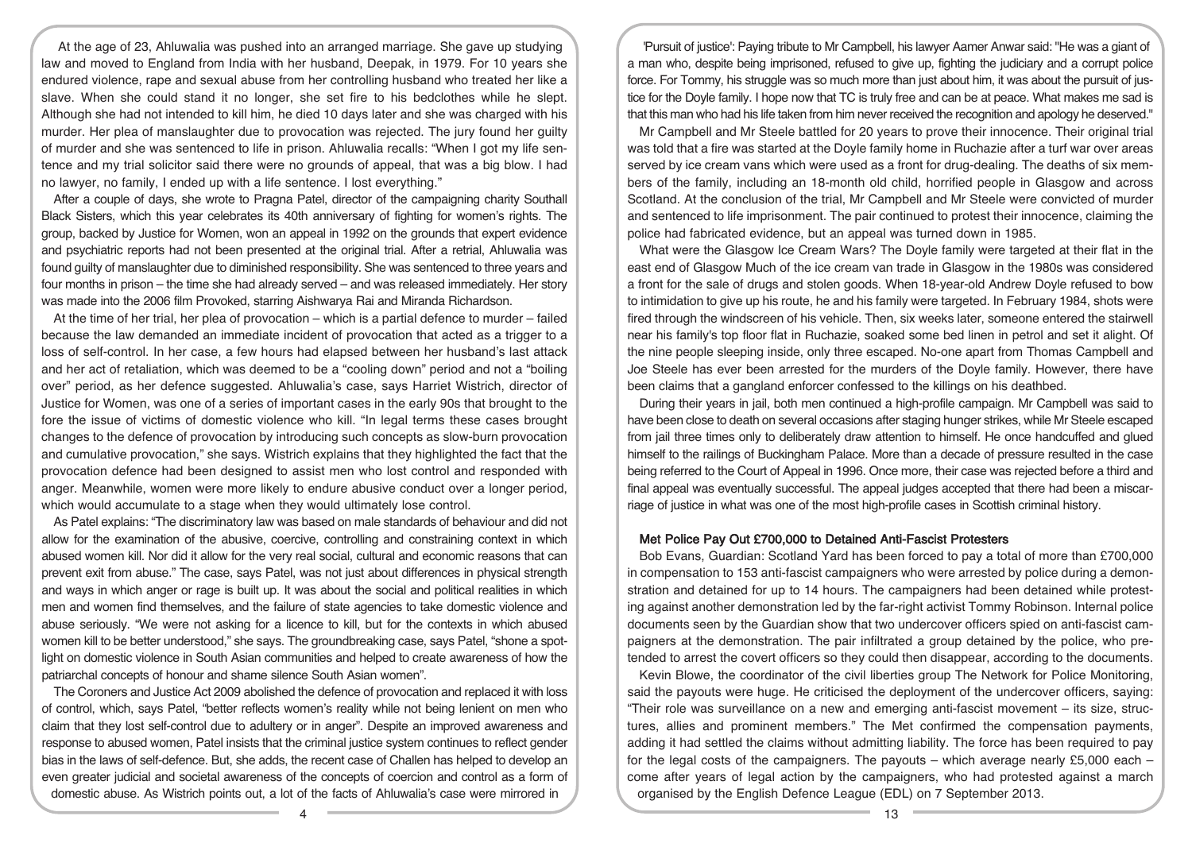At the age of 23, Ahluwalia was pushed into an arranged marriage. She gave up studying law and moved to England from India with her husband, Deepak, in 1979. For 10 years she endured violence, rape and sexual abuse from her controlling husband who treated her like a slave. When she could stand it no longer, she set fire to his bedclothes while he slept. Although she had not intended to kill him, he died 10 days later and she was charged with his murder. Her plea of manslaughter due to provocation was rejected. The jury found her guilty of murder and she was sentenced to life in prison. Ahluwalia recalls: "When I got my life sentence and my trial solicitor said there were no grounds of appeal, that was a big blow. I had no lawyer, no family, I ended up with a life sentence. I lost everything."

After a couple of days, she wrote to Pragna Patel, director of the campaigning charity Southall Black Sisters, which this year celebrates its 40th anniversary of fighting for women's rights. The group, backed by Justice for Women, won an appeal in 1992 on the grounds that expert evidence and psychiatric reports had not been presented at the original trial. After a retrial, Ahluwalia was found guilty of manslaughter due to diminished responsibility. She was sentenced to three years and four months in prison – the time she had already served – and was released immediately. Her story was made into the 2006 film Provoked, starring Aishwarya Rai and Miranda Richardson.

At the time of her trial, her plea of provocation – which is a partial defence to murder – failed because the law demanded an immediate incident of provocation that acted as a trigger to a loss of self-control. In her case, a few hours had elapsed between her husband's last attack and her act of retaliation, which was deemed to be a "cooling down" period and not a "boiling over" period, as her defence suggested. Ahluwalia's case, says Harriet Wistrich, director of Justice for Women, was one of a series of important cases in the early 90s that brought to the fore the issue of victims of domestic violence who kill. "In legal terms these cases brought changes to the defence of provocation by introducing such concepts as slow-burn provocation and cumulative provocation," she says. Wistrich explains that they highlighted the fact that the provocation defence had been designed to assist men who lost control and responded with anger. Meanwhile, women were more likely to endure abusive conduct over a longer period, which would accumulate to a stage when they would ultimately lose control.

As Patel explains: "The discriminatory law was based on male standards of behaviour and did not allow for the examination of the abusive, coercive, controlling and constraining context in which abused women kill. Nor did it allow for the very real social, cultural and economic reasons that can prevent exit from abuse." The case, says Patel, was not just about differences in physical strength and ways in which anger or rage is built up. It was about the social and political realities in which men and women find themselves, and the failure of state agencies to take domestic violence and abuse seriously. "We were not asking for a licence to kill, but for the contexts in which abused women kill to be better understood," she says. The groundbreaking case, says Patel, "shone a spotlight on domestic violence in South Asian communities and helped to create awareness of how the patriarchal concepts of honour and shame silence South Asian women".

The Coroners and Justice Act 2009 abolished the defence of provocation and replaced it with loss of control, which, says Patel, "better reflects women's reality while not being lenient on men who claim that they lost self-control due to adultery or in anger". Despite an improved awareness and response to abused women, Patel insists that the criminal justice system continues to reflect gender bias in the laws of self-defence. But, she adds, the recent case of Challen has helped to develop an even greater judicial and societal awareness of the concepts of coercion and control as a form of domestic abuse. As Wistrich points out, a lot of the facts of Ahluwalia's case were mirrored in

'Pursuit of justice': Paying tribute to Mr Campbell, his lawyer Aamer Anwar said: "He was a giant of a man who, despite being imprisoned, refused to give up, fighting the judiciary and a corrupt police force. For Tommy, his struggle was so much more than just about him, it was about the pursuit of justice for the Doyle family. I hope now that TC is truly free and can be at peace. What makes me sad is that this man who had his life taken from him never received the recognition and apology he deserved."

Mr Campbell and Mr Steele battled for 20 years to prove their innocence. Their original trial was told that a fire was started at the Doyle family home in Ruchazie after a turf war over areas served by ice cream vans which were used as a front for drug-dealing. The deaths of six members of the family, including an 18-month old child, horrified people in Glasgow and across Scotland. At the conclusion of the trial, Mr Campbell and Mr Steele were convicted of murder and sentenced to life imprisonment. The pair continued to protest their innocence, claiming the police had fabricated evidence, but an appeal was turned down in 1985.

What were the Glasgow Ice Cream Wars? The Doyle family were targeted at their flat in the east end of Glasgow Much of the ice cream van trade in Glasgow in the 1980s was considered a front for the sale of drugs and stolen goods. When 18-year-old Andrew Doyle refused to bow to intimidation to give up his route, he and his family were targeted. In February 1984, shots were fired through the windscreen of his vehicle. Then, six weeks later, someone entered the stairwell near his family's top floor flat in Ruchazie, soaked some bed linen in petrol and set it alight. Of the nine people sleeping inside, only three escaped. No-one apart from Thomas Campbell and Joe Steele has ever been arrested for the murders of the Doyle family. However, there have been claims that a gangland enforcer confessed to the killings on his deathbed.

During their years in jail, both men continued a high-profile campaign. Mr Campbell was said to have been close to death on several occasions after staging hunger strikes, while Mr Steele escaped from jail three times only to deliberately draw attention to himself. He once handcuffed and glued himself to the railings of Buckingham Palace. More than a decade of pressure resulted in the case being referred to the Court of Appeal in 1996. Once more, their case was rejected before a third and final appeal was eventually successful. The appeal judges accepted that there had been a miscarriage of justice in what was one of the most high-profile cases in Scottish criminal history.

# Met Police Pay Out £700,000 to Detained Anti-Fascist Protesters

Bob Evans, Guardian: Scotland Yard has been forced to pay a total of more than £700,000 in compensation to 153 anti-fascist campaigners who were arrested by police during a demonstration and detained for up to 14 hours. The campaigners had been detained while protesting against another demonstration led by the far-right activist Tommy Robinson. Internal police documents seen by the Guardian show that two undercover officers spied on anti-fascist campaigners at the demonstration. The pair infiltrated a group detained by the police, who pretended to arrest the covert officers so they could then disappear, according to the documents.

Kevin Blowe, the coordinator of the civil liberties group The Network for Police Monitoring, said the payouts were huge. He criticised the deployment of the undercover officers, saying: "Their role was surveillance on a new and emerging anti-fascist movement – its size, structures, allies and prominent members." The Met confirmed the compensation payments, adding it had settled the claims without admitting liability. The force has been required to pay for the legal costs of the campaigners. The payouts – which average nearly £5,000 each – come after years of legal action by the campaigners, who had protested against a march organised by the English Defence League (EDL) on 7 September 2013.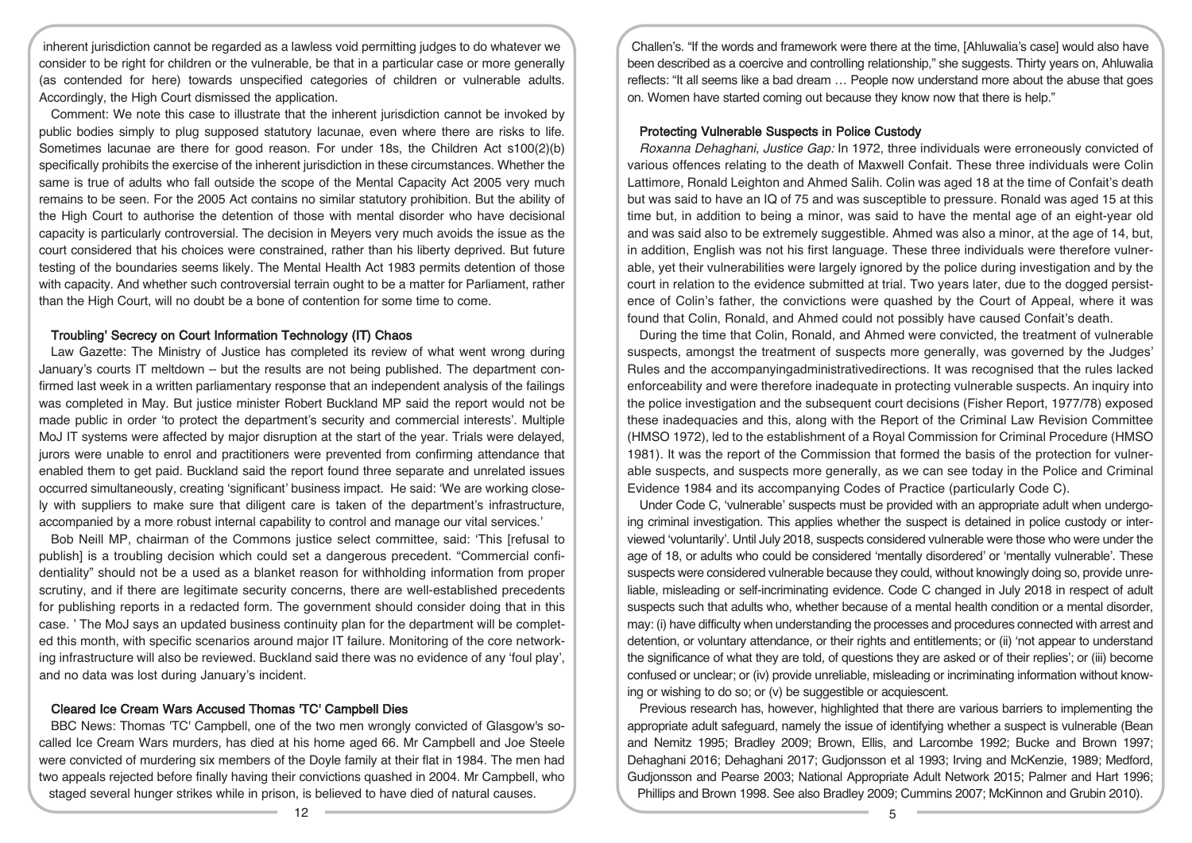inherent jurisdiction cannot be regarded as a lawless void permitting judges to do whatever we consider to be right for children or the vulnerable, be that in a particular case or more generally (as contended for here) towards unspecified categories of children or vulnerable adults. Accordingly, the High Court dismissed the application.

Comment: We note this case to illustrate that the inherent jurisdiction cannot be invoked by public bodies simply to plug supposed statutory lacunae, even where there are risks to life. Sometimes lacunae are there for good reason. For under 18s, the Children Act s100(2)(b) specifically prohibits the exercise of the inherent jurisdiction in these circumstances. Whether the same is true of adults who fall outside the scope of the Mental Capacity Act 2005 very much remains to be seen. For the 2005 Act contains no similar statutory prohibition. But the ability of the High Court to authorise the detention of those with mental disorder who have decisional capacity is particularly controversial. The decision in Meyers very much avoids the issue as the court considered that his choices were constrained, rather than his liberty deprived. But future testing of the boundaries seems likely. The Mental Health Act 1983 permits detention of those with capacity. And whether such controversial terrain ought to be a matter for Parliament, rather than the High Court, will no doubt be a bone of contention for some time to come.

# Troubling' Secrecy on Court Information Technology (IT) Chaos

Law Gazette: The Ministry of Justice has completed its review of what went wrong during January's courts IT meltdown – but the results are not being published. The department confirmed last week in a written parliamentary response that an independent analysis of the failings was completed in May. But justice minister Robert Buckland MP said the report would not be made public in order 'to protect the department's security and commercial interests'. Multiple MoJ IT systems were affected by major disruption at the start of the year. Trials were delayed, jurors were unable to enrol and practitioners were prevented from confirming attendance that enabled them to get paid. Buckland said the report found three separate and unrelated issues occurred simultaneously, creating 'significant' business impact. He said: 'We are working closely with suppliers to make sure that diligent care is taken of the department's infrastructure, accompanied by a more robust internal capability to control and manage our vital services.'

Bob Neill MP, chairman of the Commons justice select committee, said: 'This [refusal to publish] is a troubling decision which could set a dangerous precedent. "Commercial confidentiality" should not be a used as a blanket reason for withholding information from proper scrutiny, and if there are legitimate security concerns, there are well-established precedents for publishing reports in a redacted form. The government should consider doing that in this case. ' The MoJ says an updated business continuity plan for the department will be completed this month, with specific scenarios around major IT failure. Monitoring of the core networking infrastructure will also be reviewed. Buckland said there was no evidence of any 'foul play', and no data was lost during January's incident.

## Cleared Ice Cream Wars Accused Thomas 'TC' Campbell Dies

BBC News: Thomas 'TC' Campbell, one of the two men wrongly convicted of Glasgow's socalled Ice Cream Wars murders, has died at his home aged 66. Mr Campbell and Joe Steele were convicted of murdering six members of the Doyle family at their flat in 1984. The men had two appeals rejected before finally having their convictions quashed in 2004. Mr Campbell, who staged several hunger strikes while in prison, is believed to have died of natural causes.

Challen's. "If the words and framework were there at the time, [Ahluwalia's case] would also have been described as a coercive and controlling relationship," she suggests. Thirty years on, Ahluwalia reflects: "It all seems like a bad dream … People now understand more about the abuse that goes on. Women have started coming out because they know now that there is help."

# Protecting Vulnerable Suspects in Police Custody

Roxanna Dehaghani, Justice Gap: In 1972, three individuals were erroneously convicted of various offences relating to the death of Maxwell Confait. These three individuals were Colin Lattimore, Ronald Leighton and Ahmed Salih. Colin was aged 18 at the time of Confait's death but was said to have an IQ of 75 and was susceptible to pressure. Ronald was aged 15 at this time but, in addition to being a minor, was said to have the mental age of an eight-year old and was said also to be extremely suggestible. Ahmed was also a minor, at the age of 14, but, in addition, English was not his first language. These three individuals were therefore vulnerable, yet their vulnerabilities were largely ignored by the police during investigation and by the court in relation to the evidence submitted at trial. Two years later, due to the dogged persistence of Colin's father, the convictions were quashed by the Court of Appeal, where it was found that Colin, Ronald, and Ahmed could not possibly have caused Confait's death.

During the time that Colin, Ronald, and Ahmed were convicted, the treatment of vulnerable suspects, amongst the treatment of suspects more generally, was governed by the Judges' Rules and the accompanyingadministrativedirections. It was recognised that the rules lacked enforceability and were therefore inadequate in protecting vulnerable suspects. An inquiry into the police investigation and the subsequent court decisions (Fisher Report, 1977/78) exposed these inadequacies and this, along with the Report of the Criminal Law Revision Committee (HMSO 1972), led to the establishment of a Royal Commission for Criminal Procedure (HMSO 1981). It was the report of the Commission that formed the basis of the protection for vulnerable suspects, and suspects more generally, as we can see today in the Police and Criminal Evidence 1984 and its accompanying Codes of Practice (particularly Code C).

Under Code C, 'vulnerable' suspects must be provided with an appropriate adult when undergoing criminal investigation. This applies whether the suspect is detained in police custody or interviewed 'voluntarily'. Until July 2018, suspects considered vulnerable were those who were under the age of 18, or adults who could be considered 'mentally disordered' or 'mentally vulnerable'. These suspects were considered vulnerable because they could, without knowingly doing so, provide unreliable, misleading or self-incriminating evidence. Code C changed in July 2018 in respect of adult suspects such that adults who, whether because of a mental health condition or a mental disorder, may: (i) have difficulty when understanding the processes and procedures connected with arrest and detention, or voluntary attendance, or their rights and entitlements; or (ii) 'not appear to understand the significance of what they are told, of questions they are asked or of their replies'; or (iii) become confused or unclear; or (iv) provide unreliable, misleading or incriminating information without knowing or wishing to do so; or (v) be suggestible or acquiescent.

Previous research has, however, highlighted that there are various barriers to implementing the appropriate adult safeguard, namely the issue of identifying whether a suspect is vulnerable (Bean and Nemitz 1995; Bradley 2009; Brown, Ellis, and Larcombe 1992; Bucke and Brown 1997; Dehaghani 2016; Dehaghani 2017; Gudjonsson et al 1993; Irving and McKenzie, 1989; Medford, Gudjonsson and Pearse 2003; National Appropriate Adult Network 2015; Palmer and Hart 1996; Phillips and Brown 1998. See also Bradley 2009; Cummins 2007; McKinnon and Grubin 2010).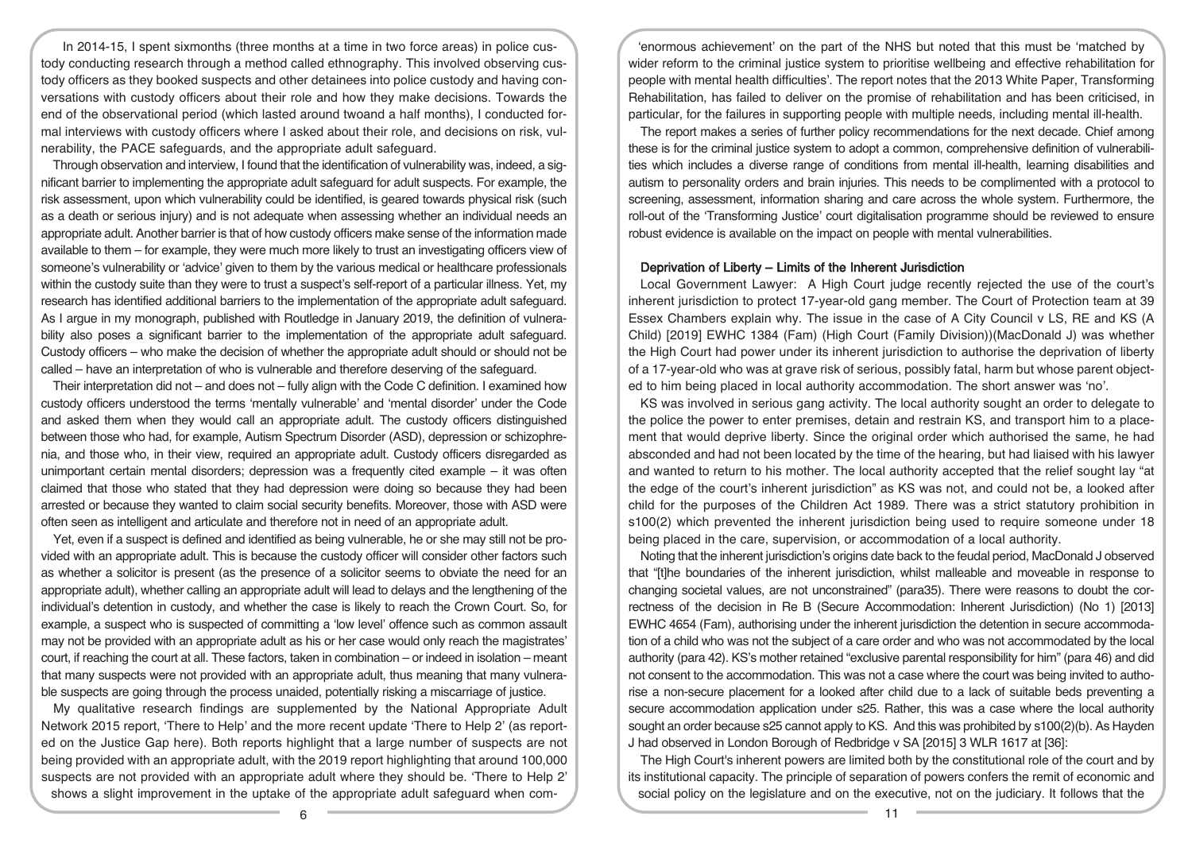In 2014-15, I spent sixmonths (three months at a time in two force areas) in police custody conducting research through a method called ethnography. This involved observing custody officers as they booked suspects and other detainees into police custody and having conversations with custody officers about their role and how they make decisions. Towards the end of the observational period (which lasted around twoand a half months), I conducted formal interviews with custody officers where I asked about their role, and decisions on risk, vulnerability, the PACE safeguards, and the appropriate adult safeguard.

Through observation and interview, I found that the identification of vulnerability was, indeed, a significant barrier to implementing the appropriate adult safeguard for adult suspects. For example, the risk assessment, upon which vulnerability could be identified, is geared towards physical risk (such as a death or serious injury) and is not adequate when assessing whether an individual needs an appropriate adult. Another barrier is that of how custody officers make sense of the information made available to them – for example, they were much more likely to trust an investigating officers view of someone's vulnerability or 'advice' given to them by the various medical or healthcare professionals within the custody suite than they were to trust a suspect's self-report of a particular illness. Yet, my research has identified additional barriers to the implementation of the appropriate adult safeguard. As I argue in my monograph, published with Routledge in January 2019, the definition of vulnerability also poses a significant barrier to the implementation of the appropriate adult safeguard. Custody officers – who make the decision of whether the appropriate adult should or should not be called – have an interpretation of who is vulnerable and therefore deserving of the safeguard.

Their interpretation did not – and does not – fully align with the Code C definition. I examined how custody officers understood the terms 'mentally vulnerable' and 'mental disorder' under the Code and asked them when they would call an appropriate adult. The custody officers distinguished between those who had, for example, Autism Spectrum Disorder (ASD), depression or schizophrenia, and those who, in their view, required an appropriate adult. Custody officers disregarded as unimportant certain mental disorders; depression was a frequently cited example – it was often claimed that those who stated that they had depression were doing so because they had been arrested or because they wanted to claim social security benefits. Moreover, those with ASD were often seen as intelligent and articulate and therefore not in need of an appropriate adult.

Yet, even if a suspect is defined and identified as being vulnerable, he or she may still not be provided with an appropriate adult. This is because the custody officer will consider other factors such as whether a solicitor is present (as the presence of a solicitor seems to obviate the need for an appropriate adult), whether calling an appropriate adult will lead to delays and the lengthening of the individual's detention in custody, and whether the case is likely to reach the Crown Court. So, for example, a suspect who is suspected of committing a 'low level' offence such as common assault may not be provided with an appropriate adult as his or her case would only reach the magistrates' court, if reaching the court at all. These factors, taken in combination – or indeed in isolation – meant that many suspects were not provided with an appropriate adult, thus meaning that many vulnerable suspects are going through the process unaided, potentially risking a miscarriage of justice.

My qualitative research findings are supplemented by the National Appropriate Adult Network 2015 report, 'There to Help' and the more recent update 'There to Help 2' (as reported on the Justice Gap here). Both reports highlight that a large number of suspects are not being provided with an appropriate adult, with the 2019 report highlighting that around 100,000 suspects are not provided with an appropriate adult where they should be. 'There to Help 2' shows a slight improvement in the uptake of the appropriate adult safeguard when com-

'enormous achievement' on the part of the NHS but noted that this must be 'matched by wider reform to the criminal justice system to prioritise wellbeing and effective rehabilitation for people with mental health difficulties'. The report notes that the 2013 White Paper, Transforming Rehabilitation, has failed to deliver on the promise of rehabilitation and has been criticised, in particular, for the failures in supporting people with multiple needs, including mental ill-health.

The report makes a series of further policy recommendations for the next decade. Chief among these is for the criminal justice system to adopt a common, comprehensive definition of vulnerabilities which includes a diverse range of conditions from mental ill-health, learning disabilities and autism to personality orders and brain injuries. This needs to be complimented with a protocol to screening, assessment, information sharing and care across the whole system. Furthermore, the roll-out of the 'Transforming Justice' court digitalisation programme should be reviewed to ensure robust evidence is available on the impact on people with mental vulnerabilities.

## Deprivation of Liberty – Limits of the Inherent Jurisdiction

Local Government Lawyer: A High Court judge recently rejected the use of the court's inherent jurisdiction to protect 17-year-old gang member. The Court of Protection team at 39 Essex Chambers explain why. The issue in the case of A City Council v LS, RE and KS (A Child) [2019] EWHC 1384 (Fam) (High Court (Family Division))(MacDonald J) was whether the High Court had power under its inherent jurisdiction to authorise the deprivation of liberty of a 17-year-old who was at grave risk of serious, possibly fatal, harm but whose parent objected to him being placed in local authority accommodation. The short answer was 'no'.

KS was involved in serious gang activity. The local authority sought an order to delegate to the police the power to enter premises, detain and restrain KS, and transport him to a placement that would deprive liberty. Since the original order which authorised the same, he had absconded and had not been located by the time of the hearing, but had liaised with his lawyer and wanted to return to his mother. The local authority accepted that the relief sought lay "at the edge of the court's inherent jurisdiction" as KS was not, and could not be, a looked after child for the purposes of the Children Act 1989. There was a strict statutory prohibition in s100(2) which prevented the inherent jurisdiction being used to require someone under 18 being placed in the care, supervision, or accommodation of a local authority.

Noting that the inherent jurisdiction's origins date back to the feudal period, MacDonald J observed that "[t]he boundaries of the inherent jurisdiction, whilst malleable and moveable in response to changing societal values, are not unconstrained" (para35). There were reasons to doubt the correctness of the decision in Re B (Secure Accommodation: Inherent Jurisdiction) (No 1) [2013] EWHC 4654 (Fam), authorising under the inherent jurisdiction the detention in secure accommodation of a child who was not the subject of a care order and who was not accommodated by the local authority (para 42). KS's mother retained "exclusive parental responsibility for him" (para 46) and did not consent to the accommodation. This was not a case where the court was being invited to authorise a non-secure placement for a looked after child due to a lack of suitable beds preventing a secure accommodation application under s25. Rather, this was a case where the local authority sought an order because s25 cannot apply to KS. And this was prohibited by s100(2)(b). As Hayden J had observed in London Borough of Redbridge v SA [2015] 3 WLR 1617 at [36]:

The High Court's inherent powers are limited both by the constitutional role of the court and by its institutional capacity. The principle of separation of powers confers the remit of economic and social policy on the legislature and on the executive, not on the judiciary. It follows that the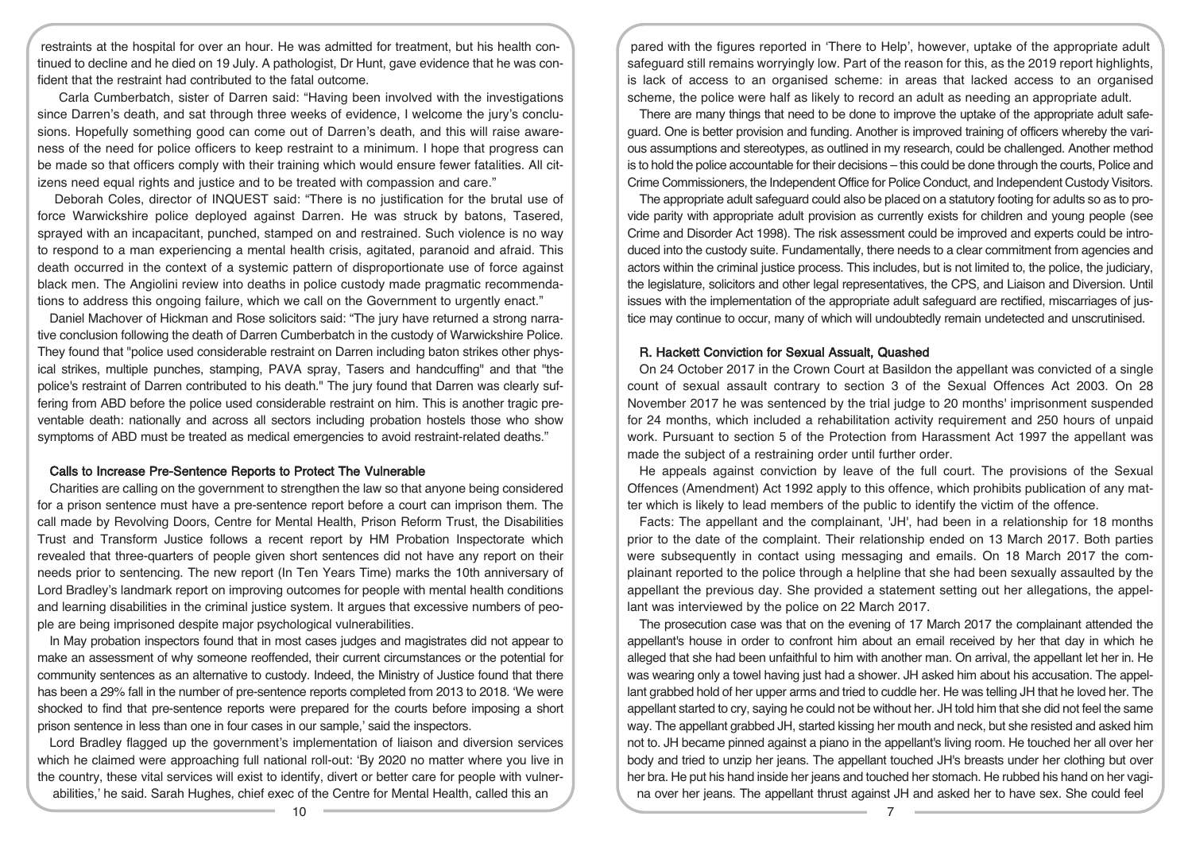restraints at the hospital for over an hour. He was admitted for treatment, but his health continued to decline and he died on 19 July. A pathologist, Dr Hunt, gave evidence that he was confident that the restraint had contributed to the fatal outcome.

Carla Cumberbatch, sister of Darren said: "Having been involved with the investigations since Darren's death, and sat through three weeks of evidence, I welcome the jury's conclusions. Hopefully something good can come out of Darren's death, and this will raise awareness of the need for police officers to keep restraint to a minimum. I hope that progress can be made so that officers comply with their training which would ensure fewer fatalities. All citizens need equal rights and justice and to be treated with compassion and care."

Deborah Coles, director of INQUEST said: "There is no justification for the brutal use of force Warwickshire police deployed against Darren. He was struck by batons, Tasered, sprayed with an incapacitant, punched, stamped on and restrained. Such violence is no way to respond to a man experiencing a mental health crisis, agitated, paranoid and afraid. This death occurred in the context of a systemic pattern of disproportionate use of force against black men. The Angiolini review into deaths in police custody made pragmatic recommendations to address this ongoing failure, which we call on the Government to urgently enact."

Daniel Machover of Hickman and Rose solicitors said: "The jury have returned a strong narrative conclusion following the death of Darren Cumberbatch in the custody of Warwickshire Police. They found that "police used considerable restraint on Darren including baton strikes other physical strikes, multiple punches, stamping, PAVA spray, Tasers and handcuffing" and that "the police's restraint of Darren contributed to his death." The jury found that Darren was clearly suffering from ABD before the police used considerable restraint on him. This is another tragic preventable death: nationally and across all sectors including probation hostels those who show symptoms of ABD must be treated as medical emergencies to avoid restraint-related deaths."

#### Calls to Increase Pre-Sentence Reports to Protect The Vulnerable

Charities are calling on the government to strengthen the law so that anyone being considered for a prison sentence must have a pre-sentence report before a court can imprison them. The call made by Revolving Doors, Centre for Mental Health, Prison Reform Trust, the Disabilities Trust and Transform Justice follows a recent report by HM Probation Inspectorate which revealed that three-quarters of people given short sentences did not have any report on their needs prior to sentencing. The new report (In Ten Years Time) marks the 10th anniversary of Lord Bradley's landmark report on improving outcomes for people with mental health conditions and learning disabilities in the criminal justice system. It argues that excessive numbers of people are being imprisoned despite major psychological vulnerabilities.

In May probation inspectors found that in most cases judges and magistrates did not appear to make an assessment of why someone reoffended, their current circumstances or the potential for community sentences as an alternative to custody. Indeed, the Ministry of Justice found that there has been a 29% fall in the number of pre-sentence reports completed from 2013 to 2018. 'We were shocked to find that pre-sentence reports were prepared for the courts before imposing a short prison sentence in less than one in four cases in our sample,' said the inspectors.

Lord Bradley flagged up the government's implementation of liaison and diversion services which he claimed were approaching full national roll-out: 'By 2020 no matter where you live in the country, these vital services will exist to identify, divert or better care for people with vulnerabilities,' he said. Sarah Hughes, chief exec of the Centre for Mental Health, called this an

pared with the figures reported in 'There to Help', however, uptake of the appropriate adult safeguard still remains worryingly low. Part of the reason for this, as the 2019 report highlights, is lack of access to an organised scheme: in areas that lacked access to an organised scheme, the police were half as likely to record an adult as needing an appropriate adult.

There are many things that need to be done to improve the uptake of the appropriate adult safeguard. One is better provision and funding. Another is improved training of officers whereby the various assumptions and stereotypes, as outlined in my research, could be challenged. Another method is to hold the police accountable for their decisions – this could be done through the courts, Police and Crime Commissioners, the Independent Office for Police Conduct, and Independent Custody Visitors.

The appropriate adult safeguard could also be placed on a statutory footing for adults so as to provide parity with appropriate adult provision as currently exists for children and young people (see Crime and Disorder Act 1998). The risk assessment could be improved and experts could be introduced into the custody suite. Fundamentally, there needs to a clear commitment from agencies and actors within the criminal justice process. This includes, but is not limited to, the police, the judiciary, the legislature, solicitors and other legal representatives, the CPS, and Liaison and Diversion. Until issues with the implementation of the appropriate adult safeguard are rectified, miscarriages of justice may continue to occur, many of which will undoubtedly remain undetected and unscrutinised.

# R. Hackett Conviction for Sexual Assualt, Quashed

On 24 October 2017 in the Crown Court at Basildon the appellant was convicted of a single count of sexual assault contrary to section 3 of the Sexual Offences Act 2003. On 28 November 2017 he was sentenced by the trial judge to 20 months' imprisonment suspended for 24 months, which included a rehabilitation activity requirement and 250 hours of unpaid work. Pursuant to section 5 of the Protection from Harassment Act 1997 the appellant was made the subject of a restraining order until further order.

He appeals against conviction by leave of the full court. The provisions of the Sexual Offences (Amendment) Act 1992 apply to this offence, which prohibits publication of any matter which is likely to lead members of the public to identify the victim of the offence.

Facts: The appellant and the complainant, 'JH', had been in a relationship for 18 months prior to the date of the complaint. Their relationship ended on 13 March 2017. Both parties were subsequently in contact using messaging and emails. On 18 March 2017 the complainant reported to the police through a helpline that she had been sexually assaulted by the appellant the previous day. She provided a statement setting out her allegations, the appellant was interviewed by the police on 22 March 2017.

The prosecution case was that on the evening of 17 March 2017 the complainant attended the appellant's house in order to confront him about an email received by her that day in which he alleged that she had been unfaithful to him with another man. On arrival, the appellant let her in. He was wearing only a towel having just had a shower. JH asked him about his accusation. The appellant grabbed hold of her upper arms and tried to cuddle her. He was telling JH that he loved her. The appellant started to cry, saying he could not be without her. JH told him that she did not feel the same way. The appellant grabbed JH, started kissing her mouth and neck, but she resisted and asked him not to. JH became pinned against a piano in the appellant's living room. He touched her all over her body and tried to unzip her jeans. The appellant touched JH's breasts under her clothing but over her bra. He put his hand inside her jeans and touched her stomach. He rubbed his hand on her vagina over her jeans. The appellant thrust against JH and asked her to have sex. She could feel